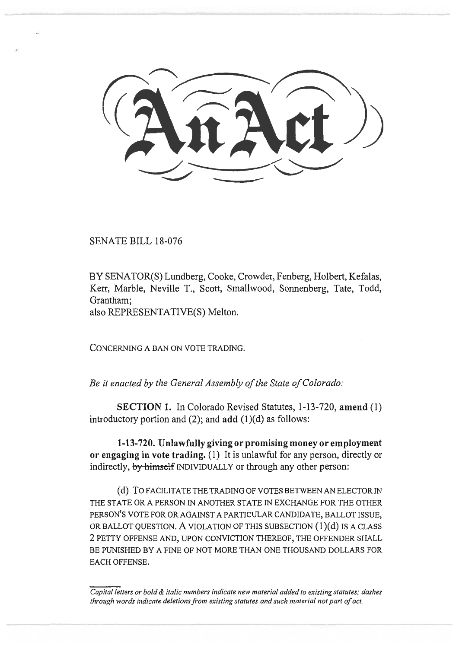SENATE BILL 18-076

BY SENATOR(S) Lundberg, Cooke, Crowder, Fenberg, Holbert, Kefalas, Kerr, Marble, Neville T., Scott, Smallwood, Sonnenberg, Tate, Todd, Grantham;

also REPRESENTATIVE(S) Melton.

CONCERNING A BAN ON VOTE TRADING.

*Be it enacted by the General Assembly of the State of Colorado:* 

**SECTION 1.** In Colorado Revised Statutes, 1-13-720, **amend** (1) introductory portion and (2); and **add** (1)(d) as follows:

**1-13-720. Unlawfully giving or promising money or employment or engaging in vote trading.** (1) It is unlawful for any person, directly or indirectly, by himself INDIVIDUALLY or through any other person:

(d) TO FACILITATE THE TRADING OF VOTES BETWEEN AN ELECTOR IN THE STATE OR A PERSON IN ANOTHER STATE IN EXCHANGE FOR THE OTHER PERSON'S VOTE FOR OR AGAINST A PARTICULAR CANDIDATE, BALLOT ISSUE, OR BALLOT QUESTION. A VIOLATION OF THIS SUBSECTION (1)(d) IS A CLASS 2 PETTY OFFENSE AND, UPON CONVICTION THEREOF, THE OFFENDER SHALL BE PUNISHED BY A FINE OF NOT MORE THAN ONE THOUSAND DOLLARS FOR EACH OFFENSE.

*Capital letters or bold & italic numbers indicate new material added to existing statutes; dashes through words indicate deletions from existing statutes and such material not part of act.*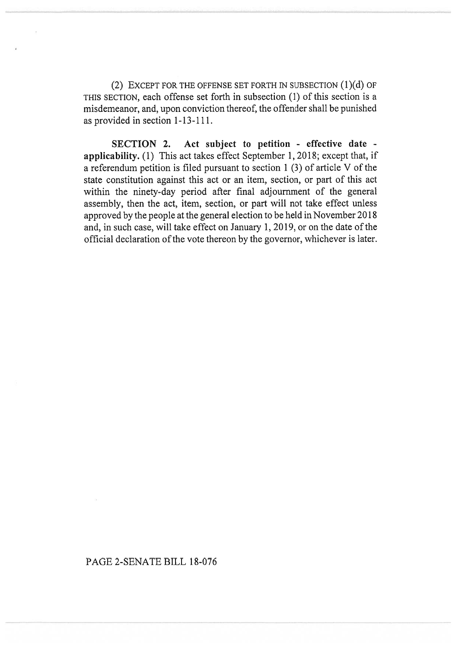(2) EXCEPT FOR THE OFFENSE SET FORTH IN SUBSECTION (1)(d) OF THIS SECTION, each offense set forth in subsection (1) of this section is a misdemeanor, and, upon conviction thereof, the offender shall be punished as provided in section 1-13-111.

**SECTION 2. Act subject to petition - effective date applicability.** (1) This act takes effect September 1, 2018; except that, if a referendum petition is filed pursuant to section 1 (3) of article V of the state constitution against this act or an item, section, or part of this act within the ninety-day period after final adjournment of the general assembly, then the act, item, section, or part will not take effect unless approved by the people at the general election to be held in November 2018 and, in such case, will take effect on January 1, 2019, or on the date of the official declaration of the vote thereon by the governor, whichever is later.

## PAGE 2-SENATE BILL 18-076